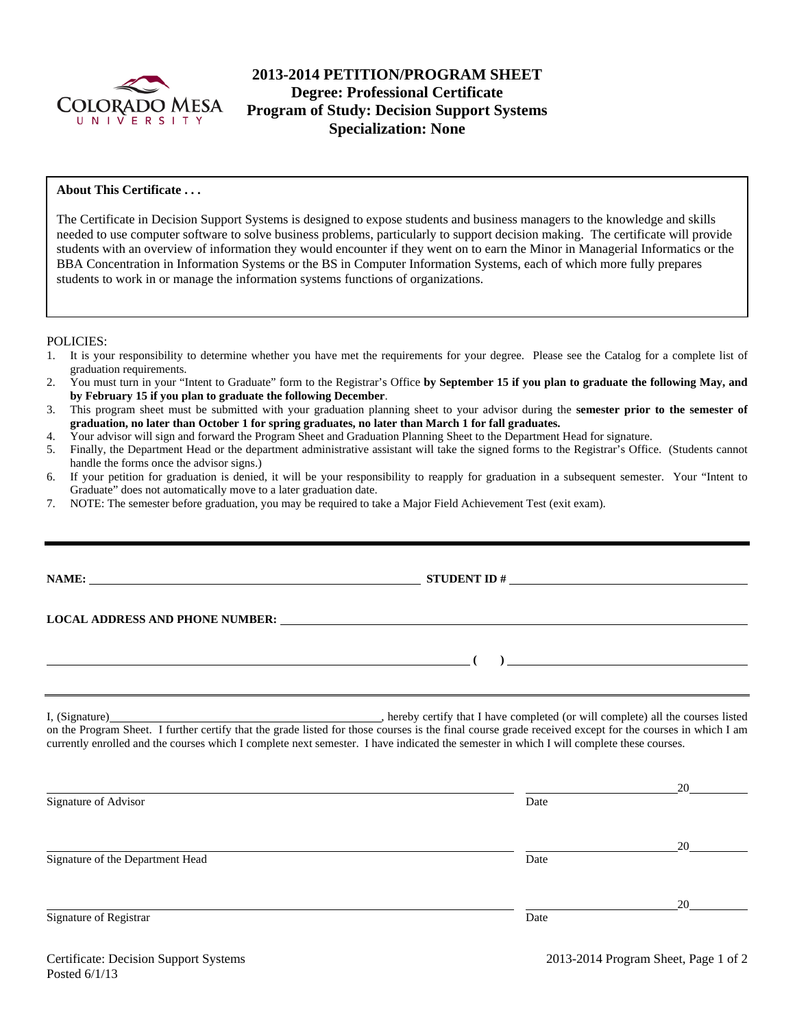

# **2013-2014 PETITION/PROGRAM SHEET Degree: Professional Certificate Program of Study: Decision Support Systems Specialization: None**

## **About This Certificate . . .**

The Certificate in Decision Support Systems is designed to expose students and business managers to the knowledge and skills needed to use computer software to solve business problems, particularly to support decision making. The certificate will provide students with an overview of information they would encounter if they went on to earn the Minor in Managerial Informatics or the BBA Concentration in Information Systems or the BS in Computer Information Systems, each of which more fully prepares students to work in or manage the information systems functions of organizations.

POLICIES:

- 1. It is your responsibility to determine whether you have met the requirements for your degree. Please see the Catalog for a complete list of graduation requirements.
- 2. You must turn in your "Intent to Graduate" form to the Registrar's Office **by September 15 if you plan to graduate the following May, and by February 15 if you plan to graduate the following December**.
- 3. This program sheet must be submitted with your graduation planning sheet to your advisor during the **semester prior to the semester of graduation, no later than October 1 for spring graduates, no later than March 1 for fall graduates.**
- 4. Your advisor will sign and forward the Program Sheet and Graduation Planning Sheet to the Department Head for signature.
- 5. Finally, the Department Head or the department administrative assistant will take the signed forms to the Registrar's Office. (Students cannot handle the forms once the advisor signs.)
- 6. If your petition for graduation is denied, it will be your responsibility to reapply for graduation in a subsequent semester. Your "Intent to Graduate" does not automatically move to a later graduation date.
- 7. NOTE: The semester before graduation, you may be required to take a Major Field Achievement Test (exit exam).

|                      | LOCAL ADDRESS AND PHONE NUMBER: Under the contract of the contract of the contract of the contract of the contract of the contract of the contract of the contract of the contract of the contract of the contract of the cont                                                                      |  |
|----------------------|-----------------------------------------------------------------------------------------------------------------------------------------------------------------------------------------------------------------------------------------------------------------------------------------------------|--|
|                      | $\overline{a}$ (b) and the contract of $\overline{a}$ (c) and the contract of $\overline{a}$ (c) and the contract of $\overline{a}$                                                                                                                                                                 |  |
|                      | on the Program Sheet. I further certify that the grade listed for those courses is the final course grade received except for the courses in which I am<br>currently enrolled and the courses which I complete next semester. I have indicated the semester in which I will complete these courses. |  |
| Signature of Advisor | Date                                                                                                                                                                                                                                                                                                |  |

|      | 20 |
|------|----|
| Date |    |
|      | 20 |
| Date |    |
|      |    |